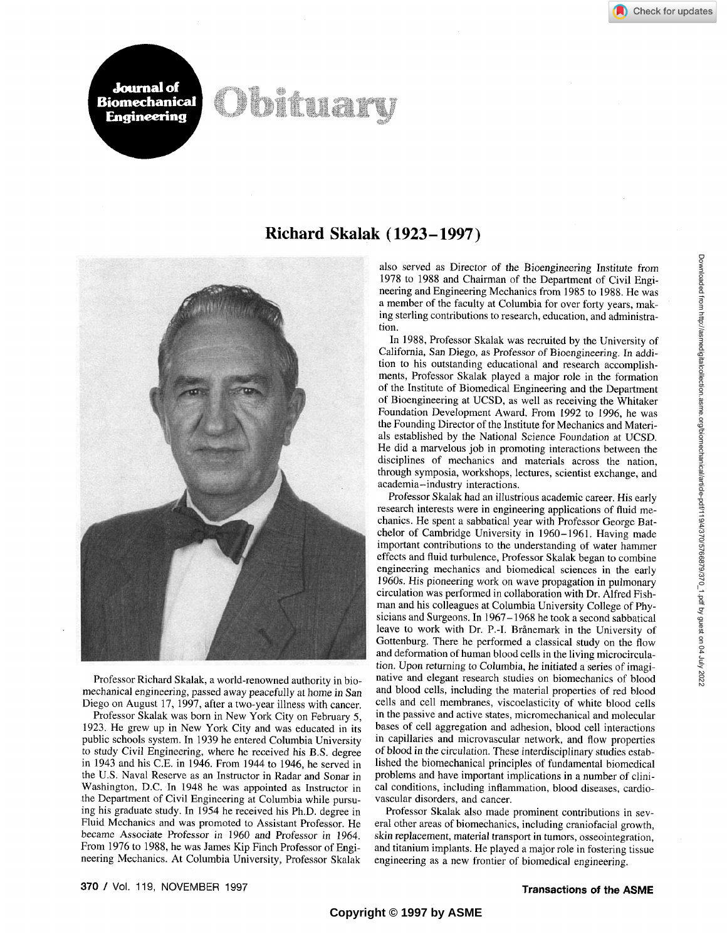## Obituary



**Journal of Biomechanical Engineering** 

Professor Richard Skalak, a world-renowned authority in biomechanical engineering, passed away peacefully at home in San Diego on August 17, 1997, after a two-year illness with cancer.

Professor Skalak was born in New York City on February 5, 1923. He grew up in New York City and was educated in its public schools system. In 1939 he entered Columbia University to study Civil Engineering, where he received his B.S. degree in 1943 and his C.E. in 1946. From 1944 to 1946, he served in the U.S. Naval Reserve as an Instructor in Radar and Sonar in Washington, D.C. In 1948 he was appointed as Instructor in the Department of Civil Engineering at Columbia while pursuing his graduate study. In 1954 he received his Ph.D. degree in Fluid Mechanics and was promoted to Assistant Professor. He became Associate Professor in 1960 and Professor in 1964. From 1976 to 1988, he was James Kip Finch Professor of Engineering Mechanics. At Columbia University, Professor Skalak

## Richard Skalak (1923-1997)

also served as Director of the Bioengineering Institute from 1978 to 1988 and Chairman of the Department of Civil Engineering and Engineering Mechanics from 1985 to 1988. He was a member of the faculty at Columbia for over forty years, making sterling contributions to research, education, and administration.

In 1988, Professor Skalak was recruited by the University of California, San Diego, as Professor of Bioengineering. In addition to his outstanding educational and research accomplishments. Professor Skalak played a major role in the formation of the Institute of Biomedical Engineering and the Department of Bioengineering at UCSD, as well as receiving the Whitaker Foundation Development Award. From 1992 to 1996, he was the Founding Director of the Institute for Mechanics and Materials established by the National Science Foundation at UCSD. He did a marvelous job in promoting interactions between the disciplines of mechanics and materials across the nation, through symposia, workshops, lectures, scientist exchange, and academia-industry interactions.

Professor Skalak had an illustrious academic career. His early research interests were in engineering applications of fluid mechanics. He spent a sabbatical year with Professor George Batchelor of Cambridge University in 1960-1961. Having made important contributions to the understanding of water hammer effects and fluid turbulence. Professor Skalak began to combine engineering mechanics and biomedical sciences in the early 1960s. His pioneering work on wave propagation in pulmonary circulation was performed in collaboration with Dr. Alfred Fishman and his colleagues at Columbia University College of Physicians and Surgeons. In 1967-1968 he took a second sabbatical leave to work with Dr. P.-I. Brånemark in the University of Gottenburg. There he performed a classical study on the flow and deformation of human blood cells in the living microcirculation. Upon returning to Columbia, he initiated a series of imaginative and elegant research studies on biomechanics of blood and blood cells, including the material properties of red blood cells and cell membranes, viscoelasticity of white blood cells in the passive and active states, micromechanical and molecular bases of cell aggregation and adhesion, blood cell interactions in capillaries and microvascular network, and flow properties of blood in the circulation. These interdisciplinary studies established the biomechanical principles of fundamental biomedical problems and have important implications in a number of clinical conditions, including inflammation, blood diseases, cardiovascular disorders, and cancer.

Professor Skalak also made prominent contributions in several other areas of biomechanics, including craniofacial growth, skin replacement, material transport in tumors, osseointegration, and titanium implants. He played a major role in fostering tissue engineering as a new frontier of biomedical engineering.

Downloaded from http://asmedigitalcollection.asme.org/biomechanical/article-pdf/119/4/370/5766879/370\_1.pdf by guest on 04 July 2022

370 / Vol. 119, NOVEMBER 1997 **Transactions of the ASME**